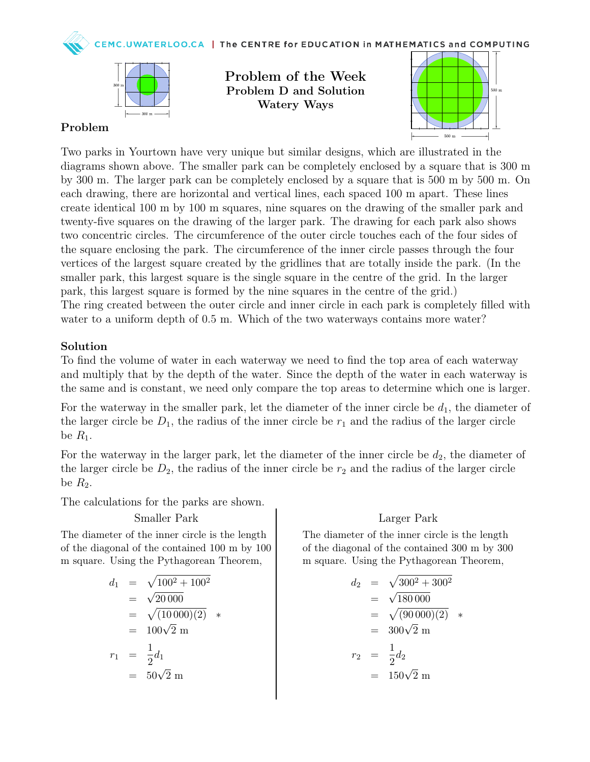WATERLOO.CA | The CENTRE for EDUCATION in MATHEMATICS and COMPUTING



Problem of the Week Problem D and Solution Watery Ways



## Problem

Two parks in Yourtown have very unique but similar designs, which are illustrated in the diagrams shown above. The smaller park can be completely enclosed by a square that is 300 m by 300 m. The larger park can be completely enclosed by a square that is 500 m by 500 m. On each drawing, there are horizontal and vertical lines, each spaced 100 m apart. These lines create identical 100 m by 100 m squares, nine squares on the drawing of the smaller park and twenty-five squares on the drawing of the larger park. The drawing for each park also shows two concentric circles. The circumference of the outer circle touches each of the four sides of the square enclosing the park. The circumference of the inner circle passes through the four vertices of the largest square created by the gridlines that are totally inside the park. (In the smaller park, this largest square is the single square in the centre of the grid. In the larger park, this largest square is formed by the nine squares in the centre of the grid.) The ring created between the outer circle and inner circle in each park is completely filled with water to a uniform depth of 0.5 m. Which of the two waterways contains more water?

### Solution

To find the volume of water in each waterway we need to find the top area of each waterway and multiply that by the depth of the water. Since the depth of the water in each waterway is the same and is constant, we need only compare the top areas to determine which one is larger.

For the waterway in the smaller park, let the diameter of the inner circle be  $d_1$ , the diameter of the larger circle be  $D_1$ , the radius of the inner circle be  $r_1$  and the radius of the larger circle be  $R_1$ .

For the waterway in the larger park, let the diameter of the inner circle be  $d_2$ , the diameter of the larger circle be  $D_2$ , the radius of the inner circle be  $r_2$  and the radius of the larger circle be  $R_2$ .

The calculations for the parks are shown.

### Smaller Park

The diameter of the inner circle is the length of the diagonal of the contained 100 m by 100 m square. Using the Pythagorean Theorem,

$$
d_1 = \sqrt{100^2 + 100^2}
$$
  
=  $\sqrt{20\,000}$   
=  $\sqrt{(10\,000)(2)}$  \*  
=  $100\sqrt{2}$  m  
 $r_1 = \frac{1}{2}d_1$   
=  $50\sqrt{2}$  m

### Larger Park

The diameter of the inner circle is the length of the diagonal of the contained 300 m by 300 m square. Using the Pythagorean Theorem,

$$
d_2 = \sqrt{300^2 + 300^2}
$$
  
=  $\sqrt{180\,000}$   
=  $\sqrt{(90\,000)(2)}$  \*  
=  $300\sqrt{2}$  m  
 $r_2 = \frac{1}{2}d_2$   
=  $150\sqrt{2}$  m